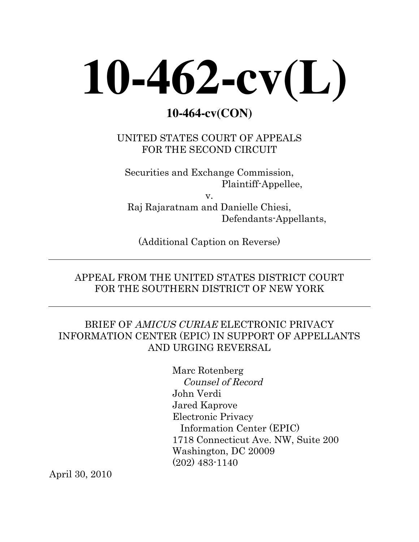# **10-462-cv(L)**

# **10-464-cv(CON)**

UNITED STATES COURT OF APPEALS FOR THE SECOND CIRCUIT

Securities and Exchange Commission, Plaintiff-Appellee,

v. Raj Rajaratnam and Danielle Chiesi, Defendants-Appellants,

(Additional Caption on Reverse)

## APPEAL FROM THE UNITED STATES DISTRICT COURT FOR THE SOUTHERN DISTRICT OF NEW YORK

## BRIEF OF AMICUS CURIAE ELECTRONIC PRIVACY INFORMATION CENTER (EPIC) IN SUPPORT OF APPELLANTS AND URGING REVERSAL

Marc Rotenberg Counsel of Record John Verdi Jared Kaprove Electronic Privacy Information Center (EPIC) 1718 Connecticut Ave. NW, Suite 200 Washington, DC 20009 (202) 483-1140

April 30, 2010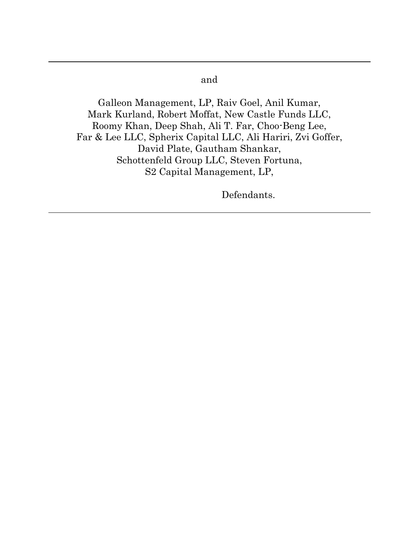#### and

Galleon Management, LP, Raiv Goel, Anil Kumar, Mark Kurland, Robert Moffat, New Castle Funds LLC, Roomy Khan, Deep Shah, Ali T. Far, Choo-Beng Lee, Far & Lee LLC, Spherix Capital LLC, Ali Hariri, Zvi Goffer, David Plate, Gautham Shankar, Schottenfeld Group LLC, Steven Fortuna, S2 Capital Management, LP,

Defendants.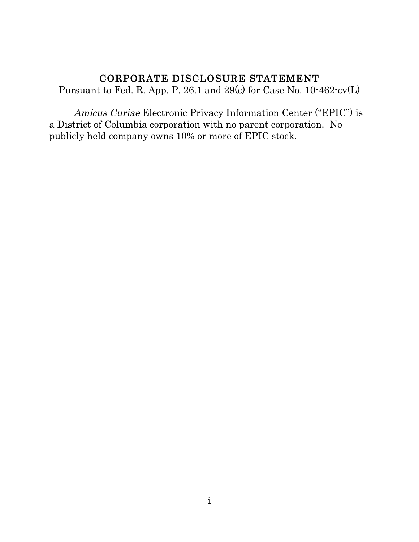#### CORPORATE DISCLOSURE STATEMENT

Pursuant to Fed. R. App. P. 26.1 and 29(c) for Case No. 10-462-cv(L)

Amicus Curiae Electronic Privacy Information Center ("EPIC") is a District of Columbia corporation with no parent corporation. No publicly held company owns 10% or more of EPIC stock.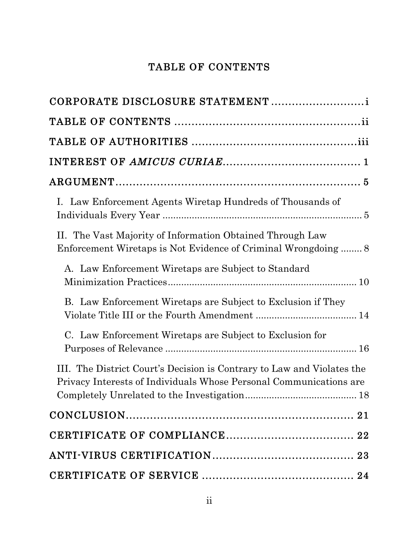# TABLE OF CONTENTS

| CORPORATE DISCLOSURE STATEMENT                                                                                                               |
|----------------------------------------------------------------------------------------------------------------------------------------------|
|                                                                                                                                              |
|                                                                                                                                              |
|                                                                                                                                              |
|                                                                                                                                              |
| I. Law Enforcement Agents Wiretap Hundreds of Thousands of                                                                                   |
| II. The Vast Majority of Information Obtained Through Law<br>Enforcement Wiretaps is Not Evidence of Criminal Wrongdoing 8                   |
| A. Law Enforcement Wiretaps are Subject to Standard                                                                                          |
| B. Law Enforcement Wiretaps are Subject to Exclusion if They                                                                                 |
| C. Law Enforcement Wiretaps are Subject to Exclusion for                                                                                     |
| III. The District Court's Decision is Contrary to Law and Violates the<br>Privacy Interests of Individuals Whose Personal Communications are |
|                                                                                                                                              |
|                                                                                                                                              |
|                                                                                                                                              |
|                                                                                                                                              |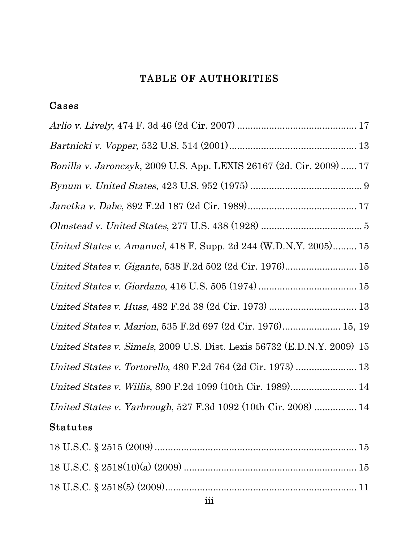# TABLE OF AUTHORITIES

## Cases

| <i>Bonilla v. Jaronczyk</i> , 2009 U.S. App. LEXIS 26167 (2d. Cir. 2009)  17 |  |
|------------------------------------------------------------------------------|--|
|                                                                              |  |
|                                                                              |  |
| $Olmstead \ v. \ United States, 277 U.S.~438~(1928)~5$                       |  |
| United States v. Amanuel, 418 F. Supp. 2d 244 (W.D.N.Y. 2005) 15             |  |
|                                                                              |  |
|                                                                              |  |
| United States v. Huss, 482 F.2d 38 (2d Cir. 1973)  13                        |  |
| United States v. Marion, 535 F.2d 697 (2d Cir. 1976) 15, 19                  |  |
| United States v. Simels, 2009 U.S. Dist. Lexis 56732 (E.D.N.Y. 2009) 15      |  |
| United States v. Tortorello, 480 F.2d 764 (2d Cir. 1973)  13                 |  |
| United States v. Willis, 890 F.2d 1099 (10th Cir. 1989) 14                   |  |
| United States v. Yarbrough, 527 F.3d 1092 (10th Cir. 2008)  14               |  |
|                                                                              |  |

# Statutes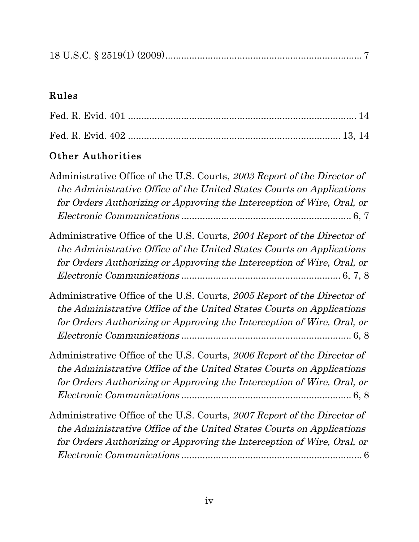|--|--|--|

# Rules

# Other Authorities

| Administrative Office of the U.S. Courts, 2003 Report of the Director of<br>the Administrative Office of the United States Courts on Applications<br>for Orders Authorizing or Approving the Interception of Wire, Oral, or |
|-----------------------------------------------------------------------------------------------------------------------------------------------------------------------------------------------------------------------------|
| Administrative Office of the U.S. Courts, 2004 Report of the Director of<br>the Administrative Office of the United States Courts on Applications<br>for Orders Authorizing or Approving the Interception of Wire, Oral, or |
| Administrative Office of the U.S. Courts, 2005 Report of the Director of<br>the Administrative Office of the United States Courts on Applications<br>for Orders Authorizing or Approving the Interception of Wire, Oral, or |
| Administrative Office of the U.S. Courts, 2006 Report of the Director of<br>the Administrative Office of the United States Courts on Applications<br>for Orders Authorizing or Approving the Interception of Wire, Oral, or |
| Administrative Office of the U.S. Courts, 2007 Report of the Director of<br>the Administrative Office of the United States Courts on Applications<br>for Orders Authorizing or Approving the Interception of Wire, Oral, or |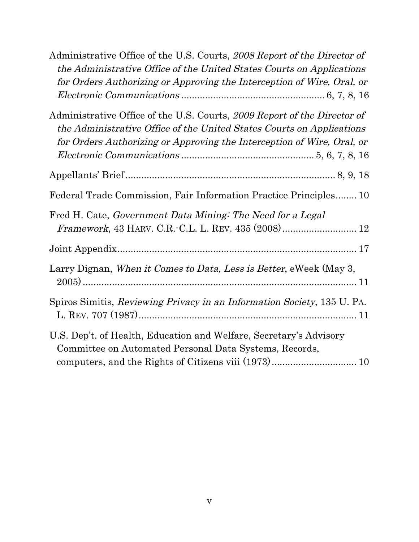| Administrative Office of the U.S. Courts, 2008 Report of the Director of<br>the Administrative Office of the United States Courts on Applications<br>for Orders Authorizing or Approving the Interception of Wire, Oral, or |
|-----------------------------------------------------------------------------------------------------------------------------------------------------------------------------------------------------------------------------|
| Administrative Office of the U.S. Courts, 2009 Report of the Director of<br>the Administrative Office of the United States Courts on Applications<br>for Orders Authorizing or Approving the Interception of Wire, Oral, or |
|                                                                                                                                                                                                                             |
| Federal Trade Commission, Fair Information Practice Principles 10                                                                                                                                                           |
| Fred H. Cate, Government Data Mining: The Need for a Legal<br>Framework, 43 HARV. C.R. C.L. L. REV. 435 (2008) 12                                                                                                           |
|                                                                                                                                                                                                                             |
| Larry Dignan, When it Comes to Data, Less is Better, eWeek (May 3,                                                                                                                                                          |
| Spiros Simitis, Reviewing Privacy in an Information Society, 135 U. PA.                                                                                                                                                     |
| U.S. Dep't. of Health, Education and Welfare, Secretary's Advisory<br>Committee on Automated Personal Data Systems, Records,                                                                                                |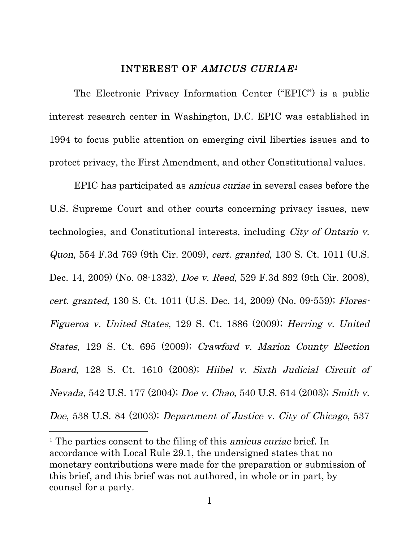#### INTEREST OF AMICUS CURIAE1

The Electronic Privacy Information Center ("EPIC") is a public interest research center in Washington, D.C. EPIC was established in 1994 to focus public attention on emerging civil liberties issues and to protect privacy, the First Amendment, and other Constitutional values.

EPIC has participated as amicus curiae in several cases before the U.S. Supreme Court and other courts concerning privacy issues, new technologies, and Constitutional interests, including City of Ontario v. Quon, 554 F.3d 769 (9th Cir. 2009), cert. granted, 130 S. Ct. 1011 (U.S. Dec. 14, 2009) (No. 08-1332), Doe v. Reed, 529 F.3d 892 (9th Cir. 2008), cert. granted, 130 S. Ct. 1011 (U.S. Dec. 14, 2009) (No. 09-559); Flores-Figueroa v. United States, 129 S. Ct. 1886 (2009); Herring v. United States, 129 S. Ct. 695 (2009); Crawford v. Marion County Election Board, 128 S. Ct. 1610 (2008); Hiibel v. Sixth Judicial Circuit of Nevada, 542 U.S. 177 (2004); Doe v. Chao, 540 U.S. 614 (2003); Smith v. Doe, 538 U.S. 84 (2003); Department of Justice v. City of Chicago, 537

<u> 1989 - Johann Stein, fransk politiker (d. 1989)</u>

<sup>&</sup>lt;sup>1</sup> The parties consent to the filing of this *amicus curiae* brief. In accordance with Local Rule 29.1, the undersigned states that no monetary contributions were made for the preparation or submission of this brief, and this brief was not authored, in whole or in part, by counsel for a party.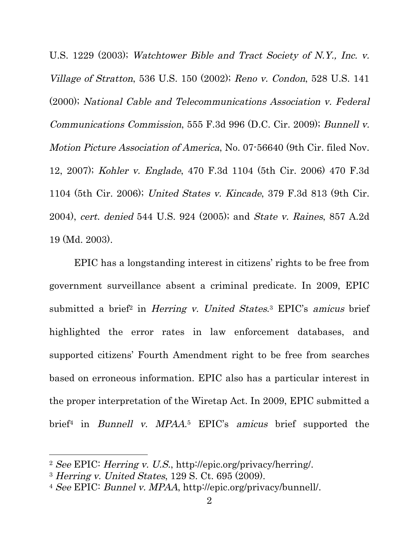U.S. 1229 (2003); Watchtower Bible and Tract Society of N.Y., Inc. v. Village of Stratton, 536 U.S. 150 (2002); Reno v. Condon, 528 U.S. 141 (2000); National Cable and Telecommunications Association v. Federal Communications Commission, 555 F.3d 996 (D.C. Cir. 2009); Bunnell v. Motion Picture Association of America, No. 07-56640 (9th Cir. filed Nov. 12, 2007); Kohler v. Englade, 470 F.3d 1104 (5th Cir. 2006) 470 F.3d 1104 (5th Cir. 2006); United States v. Kincade, 379 F.3d 813 (9th Cir. 2004), cert. denied 544 U.S. 924 (2005); and State v. Raines, 857 A.2d 19 (Md. 2003).

EPIC has a longstanding interest in citizens' rights to be free from government surveillance absent a criminal predicate. In 2009, EPIC submitted a brief<sup>2</sup> in *Herring v. United States*.<sup>3</sup> EPIC's *amicus* brief highlighted the error rates in law enforcement databases, and supported citizens' Fourth Amendment right to be free from searches based on erroneous information. EPIC also has a particular interest in the proper interpretation of the Wiretap Act. In 2009, EPIC submitted a brief4 in Bunnell v. MPAA.5 EPIC's amicus brief supported the

<sup>2</sup> See EPIC: Herring v. U.S., http://epic.org/privacy/herring/.

<sup>3</sup> Herring v. United States, 129 S. Ct. 695 (2009).

<sup>4</sup> See EPIC: Bunnel v. MPAA, http://epic.org/privacy/bunnell/.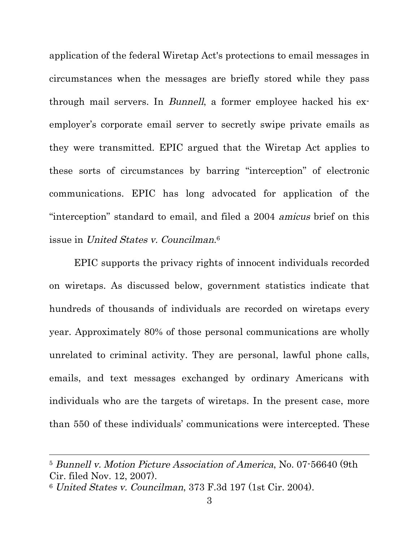application of the federal Wiretap Act's protections to email messages in circumstances when the messages are briefly stored while they pass through mail servers. In Bunnell, a former employee hacked his exemployer's corporate email server to secretly swipe private emails as they were transmitted. EPIC argued that the Wiretap Act applies to these sorts of circumstances by barring "interception" of electronic communications. EPIC has long advocated for application of the "interception" standard to email, and filed a 2004 amicus brief on this issue in United States v. Councilman.6

EPIC supports the privacy rights of innocent individuals recorded on wiretaps. As discussed below, government statistics indicate that hundreds of thousands of individuals are recorded on wiretaps every year. Approximately 80% of those personal communications are wholly unrelated to criminal activity. They are personal, lawful phone calls, emails, and text messages exchanged by ordinary Americans with individuals who are the targets of wiretaps. In the present case, more than 550 of these individuals' communications were intercepted. These

<u> 1989 - Andrea Santa Alemania, amerikana amerikana amerikana amerikana amerikana amerikana amerikana amerikan</u>

<sup>5</sup> Bunnell v. Motion Picture Association of America, No. 07-56640 (9th Cir. filed Nov. 12, 2007).

<sup>6</sup> United States v. Councilman, 373 F.3d 197 (1st Cir. 2004).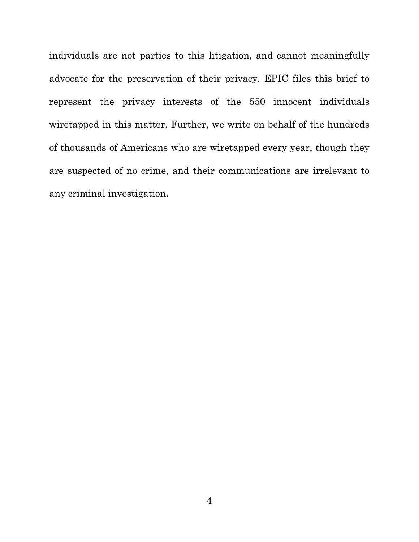individuals are not parties to this litigation, and cannot meaningfully advocate for the preservation of their privacy. EPIC files this brief to represent the privacy interests of the 550 innocent individuals wiretapped in this matter. Further, we write on behalf of the hundreds of thousands of Americans who are wiretapped every year, though they are suspected of no crime, and their communications are irrelevant to any criminal investigation.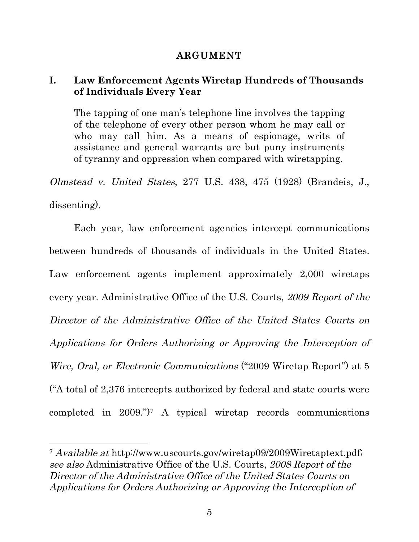#### ARGUMENT

#### **I. Law Enforcement Agents Wiretap Hundreds of Thousands of Individuals Every Year**

The tapping of one man's telephone line involves the tapping of the telephone of every other person whom he may call or who may call him. As a means of espionage, writs of assistance and general warrants are but puny instruments of tyranny and oppression when compared with wiretapping.

Olmstead v. United States, 277 U.S. 438, 475 (1928) (Brandeis, J., dissenting).

Each year, law enforcement agencies intercept communications between hundreds of thousands of individuals in the United States. Law enforcement agents implement approximately 2,000 wiretaps every year. Administrative Office of the U.S. Courts, 2009 Report of the Director of the Administrative Office of the United States Courts on Applications for Orders Authorizing or Approving the Interception of Wire, Oral, or Electronic Communications ("2009 Wiretap Report") at 5 ("A total of 2,376 intercepts authorized by federal and state courts were completed in 2009.")7 A typical wiretap records communications

<u> 1989 - Johann Stein, fransk politiker (d. 1989)</u>

<sup>7</sup> Available at http://www.uscourts.gov/wiretap09/2009Wiretaptext.pdf; see also Administrative Office of the U.S. Courts, 2008 Report of the Director of the Administrative Office of the United States Courts on Applications for Orders Authorizing or Approving the Interception of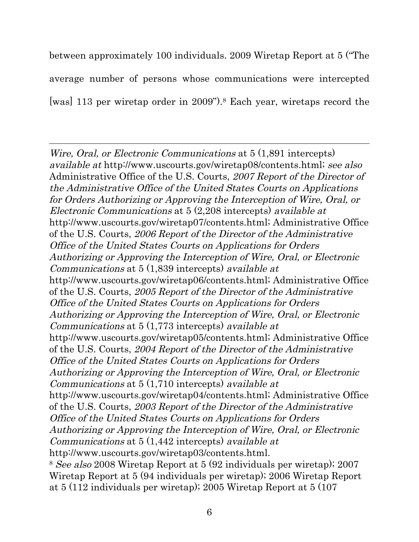between approximately 100 individuals. 2009 Wiretap Report at 5 ("The average number of persons whose communications were intercepted [was] 113 per wiretap order in 2009").8 Each year, wiretaps record the

<u> 1989 - Andrea Santa Andrea Andrea Andrea Andrea Andrea Andrea Andrea Andrea Andrea Andrea Andrea Andrea Andr</u> Wire, Oral, or Electronic Communications at 5  $(1,891)$  intercepts) available at http://www.uscourts.gov/wiretap08/contents.html; see also Administrative Office of the U.S. Courts, 2007 Report of the Director of the Administrative Office of the United States Courts on Applications for Orders Authorizing or Approving the Interception of Wire, Oral, or Electronic Communications at 5 (2,208 intercepts) available at http://www.uscourts.gov/wiretap07/contents.html; Administrative Office of the U.S. Courts, 2006 Report of the Director of the Administrative Office of the United States Courts on Applications for Orders Authorizing or Approving the Interception of Wire, Oral, or Electronic Communications at 5 (1,839 intercepts) available at http://www.uscourts.gov/wiretap06/contents.html; Administrative Office of the U.S. Courts, 2005 Report of the Director of the Administrative Office of the United States Courts on Applications for Orders Authorizing or Approving the Interception of Wire, Oral, or Electronic Communications at 5 (1,773 intercepts) available at http://www.uscourts.gov/wiretap05/contents.html; Administrative Office of the U.S. Courts, 2004 Report of the Director of the Administrative Office of the United States Courts on Applications for Orders Authorizing or Approving the Interception of Wire, Oral, or Electronic Communications at 5 (1,710 intercepts) available at http://www.uscourts.gov/wiretap04/contents.html; Administrative Office of the U.S. Courts, 2003 Report of the Director of the Administrative Office of the United States Courts on Applications for Orders Authorizing or Approving the Interception of Wire, Oral, or Electronic Communications at 5 (1,442 intercepts) available at http://www.uscourts.gov/wiretap03/contents.html. <sup>8</sup> See also 2008 Wiretap Report at 5 (92 individuals per wiretap); 2007 Wiretap Report at 5 (94 individuals per wiretap); 2006 Wiretap Report at 5 (112 individuals per wiretap); 2005 Wiretap Report at 5 (107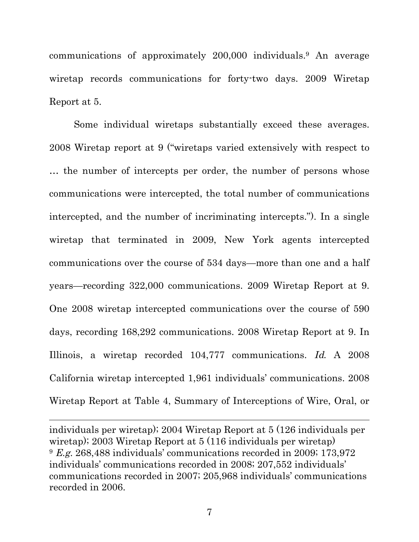communications of approximately 200,000 individuals.9 An average wiretap records communications for forty-two days. 2009 Wiretap Report at 5.

Some individual wiretaps substantially exceed these averages. 2008 Wiretap report at 9 ("wiretaps varied extensively with respect to … the number of intercepts per order, the number of persons whose communications were intercepted, the total number of communications intercepted, and the number of incriminating intercepts."). In a single wiretap that terminated in 2009, New York agents intercepted communications over the course of 534 days—more than one and a half years—recording 322,000 communications. 2009 Wiretap Report at 9. One 2008 wiretap intercepted communications over the course of 590 days, recording 168,292 communications. 2008 Wiretap Report at 9. In Illinois, a wiretap recorded 104,777 communications. Id. A 2008 California wiretap intercepted 1,961 individuals' communications. 2008 Wiretap Report at Table 4, Summary of Interceptions of Wire, Oral, or

individuals per wiretap); 2004 Wiretap Report at 5 (126 individuals per wiretap); 2003 Wiretap Report at 5 (116 individuals per wiretap) <sup>9</sup> E.g. 268,488 individuals' communications recorded in 2009; 173,972 individuals' communications recorded in 2008; 207,552 individuals' communications recorded in 2007; 205,968 individuals' communications recorded in 2006.

<u> 1989 - Andrea Santa Andrea Andrea Andrea Andrea Andrea Andrea Andrea Andrea Andrea Andrea Andrea Andrea Andr</u>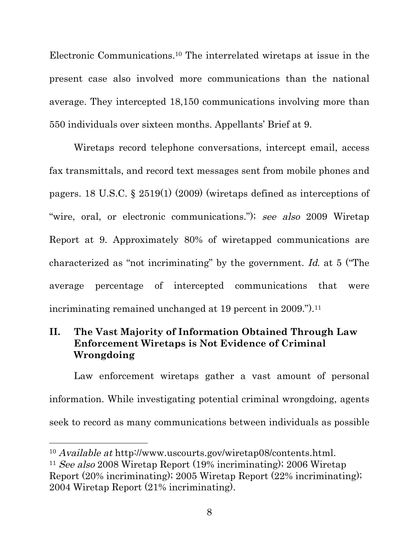Electronic Communications.10 The interrelated wiretaps at issue in the present case also involved more communications than the national average. They intercepted 18,150 communications involving more than 550 individuals over sixteen months. Appellants' Brief at 9.

Wiretaps record telephone conversations, intercept email, access fax transmittals, and record text messages sent from mobile phones and pagers. 18 U.S.C. § 2519(1) (2009) (wiretaps defined as interceptions of "wire, oral, or electronic communications."); see also 2009 Wiretap Report at 9. Approximately 80% of wiretapped communications are characterized as "not incriminating" by the government. Id. at 5 ("The average percentage of intercepted communications that were incriminating remained unchanged at 19 percent in 2009.").<sup>11</sup>

## **II. The Vast Majority of Information Obtained Through Law Enforcement Wiretaps is Not Evidence of Criminal Wrongdoing**

Law enforcement wiretaps gather a vast amount of personal information. While investigating potential criminal wrongdoing, agents seek to record as many communications between individuals as possible

<u> 1989 - Johann Stein, fransk politiker (d. 1989)</u>

<sup>10</sup> Available at http://www.uscourts.gov/wiretap08/contents.html. <sup>11</sup> See also 2008 Wiretap Report (19% incriminating); 2006 Wiretap Report (20% incriminating); 2005 Wiretap Report (22% incriminating); 2004 Wiretap Report (21% incriminating).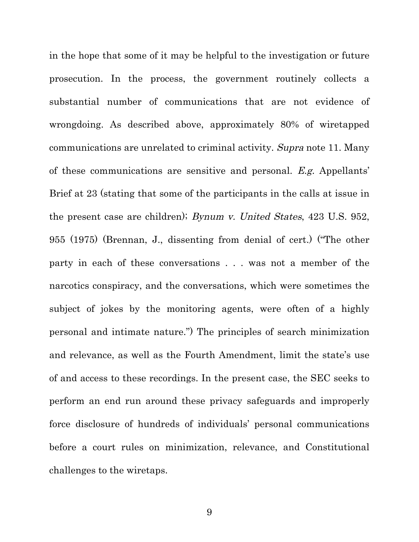in the hope that some of it may be helpful to the investigation or future prosecution. In the process, the government routinely collects a substantial number of communications that are not evidence of wrongdoing. As described above, approximately 80% of wiretapped communications are unrelated to criminal activity. Supra note 11. Many of these communications are sensitive and personal. E.g. Appellants' Brief at 23 (stating that some of the participants in the calls at issue in the present case are children); Bynum v. United States, 423 U.S. 952, 955 (1975) (Brennan, J., dissenting from denial of cert.) ("The other party in each of these conversations . . . was not a member of the narcotics conspiracy, and the conversations, which were sometimes the subject of jokes by the monitoring agents, were often of a highly personal and intimate nature.") The principles of search minimization and relevance, as well as the Fourth Amendment, limit the state's use of and access to these recordings. In the present case, the SEC seeks to perform an end run around these privacy safeguards and improperly force disclosure of hundreds of individuals' personal communications before a court rules on minimization, relevance, and Constitutional challenges to the wiretaps.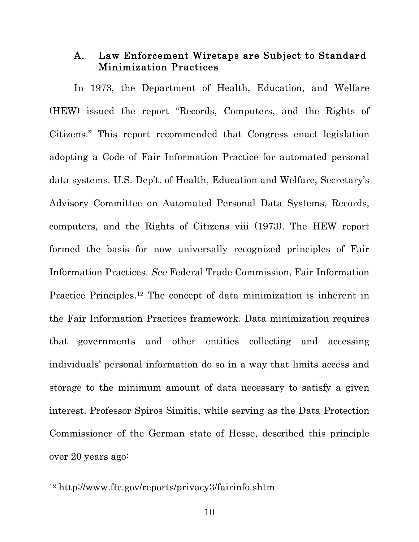#### A. Law Enforcement Wiretaps are Subject to Standard Minimization Practices

In 1973, the Department of Health, Education, and Welfare (HEW) issued the report "Records, Computers, and the Rights of Citizens." This report recommended that Congress enact legislation adopting a Code of Fair Information Practice for automated personal data systems. U.S. Dep't. of Health, Education and Welfare, Secretary's Advisory Committee on Automated Personal Data Systems, Records, computers, and the Rights of Citizens viii (1973). The HEW report formed the basis for now universally recognized principles of Fair Information Practices. See Federal Trade Commission, Fair Information Practice Principles.12 The concept of data minimization is inherent in the Fair Information Practices framework. Data minimization requires that governments and other entities collecting and accessing individuals' personal information do so in a way that limits access and storage to the minimum amount of data necessary to satisfy a given interest. Professor Spiros Simitis, while serving as the Data Protection Commissioner of the German state of Hesse, described this principle over 20 years ago:

<sup>12</sup> http://www.ftc.gov/reports/privacy3/fairinfo.shtm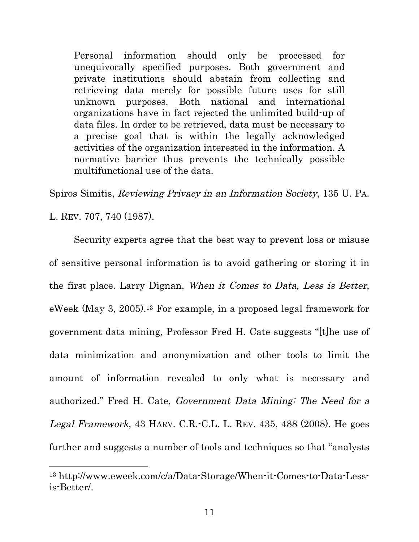Personal information should only be processed for unequivocally specified purposes. Both government and private institutions should abstain from collecting and retrieving data merely for possible future uses for still unknown purposes. Both national and international organizations have in fact rejected the unlimited build-up of data files. In order to be retrieved, data must be necessary to a precise goal that is within the legally acknowledged activities of the organization interested in the information. A normative barrier thus prevents the technically possible multifunctional use of the data.

Spiros Simitis, Reviewing Privacy in an Information Society, 135 U. PA. L. REV. 707, 740 (1987).

Security experts agree that the best way to prevent loss or misuse of sensitive personal information is to avoid gathering or storing it in the first place. Larry Dignan, When it Comes to Data, Less is Better, eWeek (May 3, 2005).13 For example, in a proposed legal framework for government data mining, Professor Fred H. Cate suggests "[t]he use of data minimization and anonymization and other tools to limit the amount of information revealed to only what is necessary and authorized." Fred H. Cate, Government Data Mining: The Need for a Legal Framework, 43 HARV. C.R.-C.L. L. REV. 435, 488 (2008). He goes further and suggests a number of tools and techniques so that "analysts

<sup>13</sup> http://www.eweek.com/c/a/Data-Storage/When-it-Comes-to-Data-Lessis-Better/.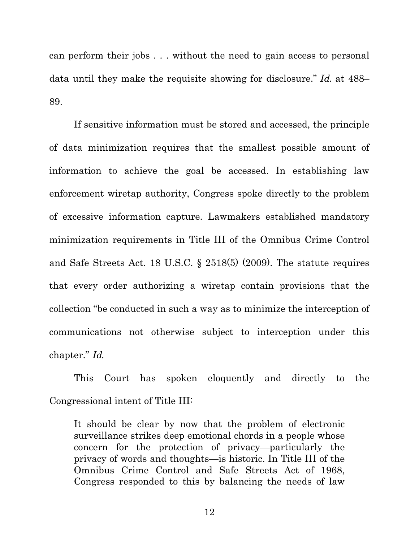can perform their jobs . . . without the need to gain access to personal data until they make the requisite showing for disclosure." Id. at 488– 89.

If sensitive information must be stored and accessed, the principle of data minimization requires that the smallest possible amount of information to achieve the goal be accessed. In establishing law enforcement wiretap authority, Congress spoke directly to the problem of excessive information capture. Lawmakers established mandatory minimization requirements in Title III of the Omnibus Crime Control and Safe Streets Act. 18 U.S.C. § 2518(5) (2009). The statute requires that every order authorizing a wiretap contain provisions that the collection "be conducted in such a way as to minimize the interception of communications not otherwise subject to interception under this chapter." Id.

This Court has spoken eloquently and directly to the Congressional intent of Title III:

It should be clear by now that the problem of electronic surveillance strikes deep emotional chords in a people whose concern for the protection of privacy—particularly the privacy of words and thoughts—is historic. In Title III of the Omnibus Crime Control and Safe Streets Act of 1968, Congress responded to this by balancing the needs of law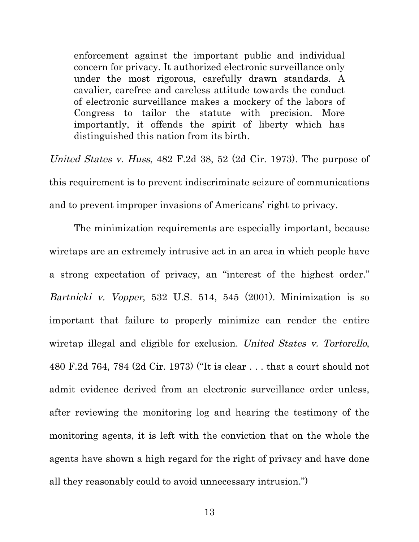enforcement against the important public and individual concern for privacy. It authorized electronic surveillance only under the most rigorous, carefully drawn standards. A cavalier, carefree and careless attitude towards the conduct of electronic surveillance makes a mockery of the labors of Congress to tailor the statute with precision. More importantly, it offends the spirit of liberty which has distinguished this nation from its birth.

United States v. Huss, 482 F.2d 38, 52 (2d Cir. 1973). The purpose of this requirement is to prevent indiscriminate seizure of communications and to prevent improper invasions of Americans' right to privacy.

The minimization requirements are especially important, because wiretaps are an extremely intrusive act in an area in which people have a strong expectation of privacy, an "interest of the highest order." Bartnicki v. Vopper, 532 U.S. 514, 545 (2001). Minimization is so important that failure to properly minimize can render the entire wiretap illegal and eligible for exclusion. United States v. Tortorello, 480 F.2d 764, 784 (2d Cir. 1973) ("It is clear . . . that a court should not admit evidence derived from an electronic surveillance order unless, after reviewing the monitoring log and hearing the testimony of the monitoring agents, it is left with the conviction that on the whole the agents have shown a high regard for the right of privacy and have done all they reasonably could to avoid unnecessary intrusion.")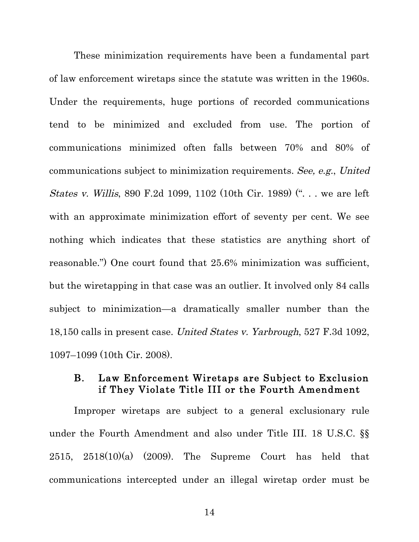These minimization requirements have been a fundamental part of law enforcement wiretaps since the statute was written in the 1960s. Under the requirements, huge portions of recorded communications tend to be minimized and excluded from use. The portion of communications minimized often falls between 70% and 80% of communications subject to minimization requirements. See, e.g., United States v. Willis, 890 F.2d 1099, 1102 (10th Cir. 1989) (". . . we are left with an approximate minimization effort of seventy per cent. We see nothing which indicates that these statistics are anything short of reasonable.") One court found that 25.6% minimization was sufficient, but the wiretapping in that case was an outlier. It involved only 84 calls subject to minimization—a dramatically smaller number than the 18,150 calls in present case. United States v. Yarbrough, 527 F.3d 1092, 1097–1099 (10th Cir. 2008).

#### B. Law Enforcement Wiretaps are Subject to Exclusion if They Violate Title III or the Fourth Amendment

Improper wiretaps are subject to a general exclusionary rule under the Fourth Amendment and also under Title III. 18 U.S.C. §§ 2515, 2518(10)(a) (2009). The Supreme Court has held that communications intercepted under an illegal wiretap order must be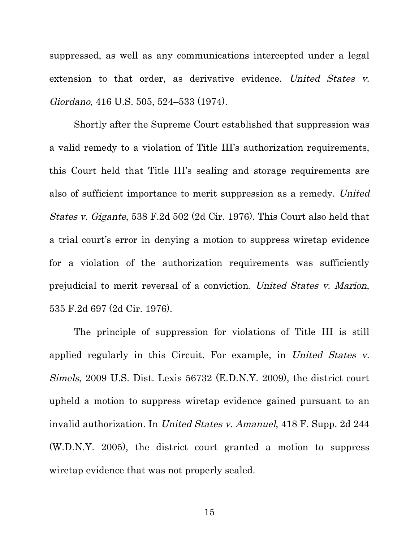suppressed, as well as any communications intercepted under a legal extension to that order, as derivative evidence. United States v. Giordano, 416 U.S. 505, 524–533 (1974).

Shortly after the Supreme Court established that suppression was a valid remedy to a violation of Title III's authorization requirements, this Court held that Title III's sealing and storage requirements are also of sufficient importance to merit suppression as a remedy. United States v. Gigante, 538 F.2d 502 (2d Cir. 1976). This Court also held that a trial court's error in denying a motion to suppress wiretap evidence for a violation of the authorization requirements was sufficiently prejudicial to merit reversal of a conviction. United States v. Marion, 535 F.2d 697 (2d Cir. 1976).

The principle of suppression for violations of Title III is still applied regularly in this Circuit. For example, in United States v. Simels, 2009 U.S. Dist. Lexis 56732 (E.D.N.Y. 2009), the district court upheld a motion to suppress wiretap evidence gained pursuant to an invalid authorization. In United States v. Amanuel, 418 F. Supp. 2d 244 (W.D.N.Y. 2005), the district court granted a motion to suppress wiretap evidence that was not properly sealed.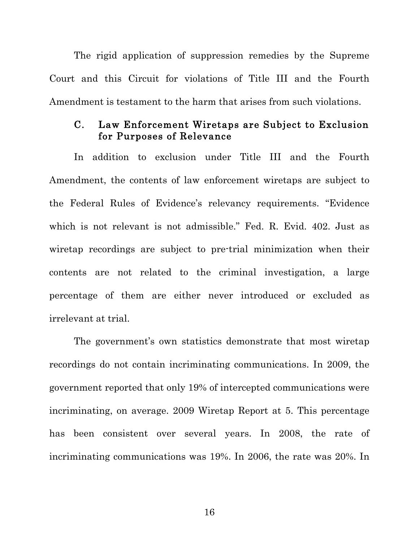The rigid application of suppression remedies by the Supreme Court and this Circuit for violations of Title III and the Fourth Amendment is testament to the harm that arises from such violations.

#### C. Law Enforcement Wiretaps are Subject to Exclusion for Purposes of Relevance

In addition to exclusion under Title III and the Fourth Amendment, the contents of law enforcement wiretaps are subject to the Federal Rules of Evidence's relevancy requirements. "Evidence which is not relevant is not admissible." Fed. R. Evid. 402. Just as wiretap recordings are subject to pre-trial minimization when their contents are not related to the criminal investigation, a large percentage of them are either never introduced or excluded as irrelevant at trial.

The government's own statistics demonstrate that most wiretap recordings do not contain incriminating communications. In 2009, the government reported that only 19% of intercepted communications were incriminating, on average. 2009 Wiretap Report at 5. This percentage has been consistent over several years. In 2008, the rate of incriminating communications was 19%. In 2006, the rate was 20%. In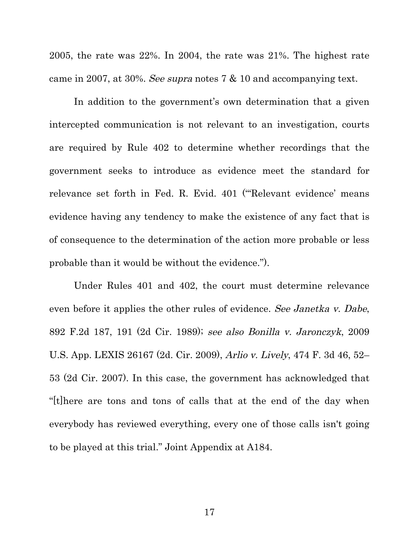2005, the rate was 22%. In 2004, the rate was 21%. The highest rate came in 2007, at 30%. See supra notes 7 & 10 and accompanying text.

In addition to the government's own determination that a given intercepted communication is not relevant to an investigation, courts are required by Rule 402 to determine whether recordings that the government seeks to introduce as evidence meet the standard for relevance set forth in Fed. R. Evid. 401 ("'Relevant evidence' means evidence having any tendency to make the existence of any fact that is of consequence to the determination of the action more probable or less probable than it would be without the evidence.").

Under Rules 401 and 402, the court must determine relevance even before it applies the other rules of evidence. See Janetka v. Dabe, 892 F.2d 187, 191 (2d Cir. 1989); see also Bonilla v. Jaronczyk, 2009 U.S. App. LEXIS 26167 (2d. Cir. 2009), Arlio v. Lively, 474 F. 3d 46, 52– 53 (2d Cir. 2007). In this case, the government has acknowledged that "[t]here are tons and tons of calls that at the end of the day when everybody has reviewed everything, every one of those calls isn't going to be played at this trial." Joint Appendix at A184.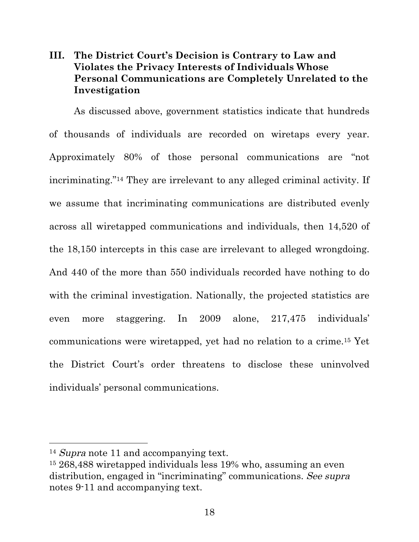## **III. The District Court's Decision is Contrary to Law and Violates the Privacy Interests of Individuals Whose Personal Communications are Completely Unrelated to the Investigation**

As discussed above, government statistics indicate that hundreds of thousands of individuals are recorded on wiretaps every year. Approximately 80% of those personal communications are "not incriminating."14 They are irrelevant to any alleged criminal activity. If we assume that incriminating communications are distributed evenly across all wiretapped communications and individuals, then 14,520 of the 18,150 intercepts in this case are irrelevant to alleged wrongdoing. And 440 of the more than 550 individuals recorded have nothing to do with the criminal investigation. Nationally, the projected statistics are even more staggering. In 2009 alone, 217,475 individuals' communications were wiretapped, yet had no relation to a crime.15 Yet the District Court's order threatens to disclose these uninvolved individuals' personal communications.

<u> 1989 - Johann Stein, fransk politiker (d. 1989)</u>

<sup>&</sup>lt;sup>14</sup> Supra note 11 and accompanying text.

<sup>15</sup> 268,488 wiretapped individuals less 19% who, assuming an even distribution, engaged in "incriminating" communications. See supra notes 9-11 and accompanying text.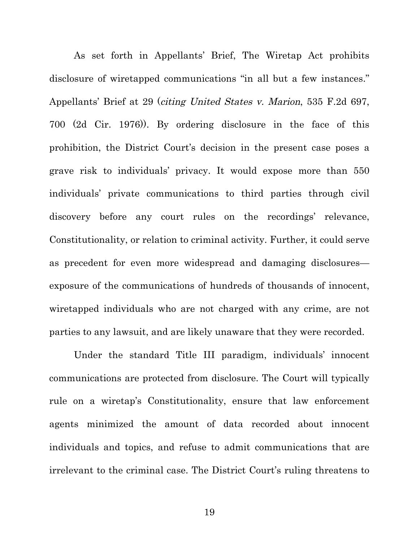As set forth in Appellants' Brief, The Wiretap Act prohibits disclosure of wiretapped communications "in all but a few instances." Appellants' Brief at 29 (citing United States v. Marion, 535 F.2d 697, 700 (2d Cir. 1976)). By ordering disclosure in the face of this prohibition, the District Court's decision in the present case poses a grave risk to individuals' privacy. It would expose more than 550 individuals' private communications to third parties through civil discovery before any court rules on the recordings' relevance, Constitutionality, or relation to criminal activity. Further, it could serve as precedent for even more widespread and damaging disclosures exposure of the communications of hundreds of thousands of innocent, wiretapped individuals who are not charged with any crime, are not parties to any lawsuit, and are likely unaware that they were recorded.

Under the standard Title III paradigm, individuals' innocent communications are protected from disclosure. The Court will typically rule on a wiretap's Constitutionality, ensure that law enforcement agents minimized the amount of data recorded about innocent individuals and topics, and refuse to admit communications that are irrelevant to the criminal case. The District Court's ruling threatens to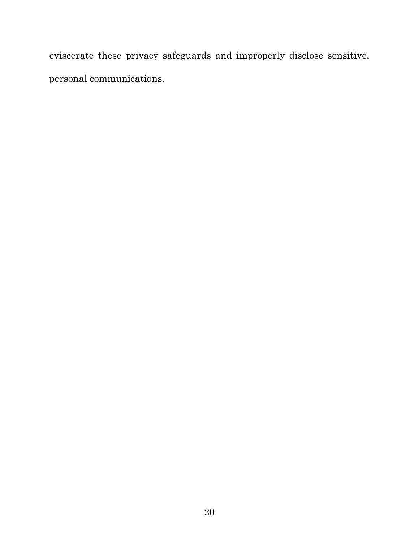eviscerate these privacy safeguards and improperly disclose sensitive, personal communications.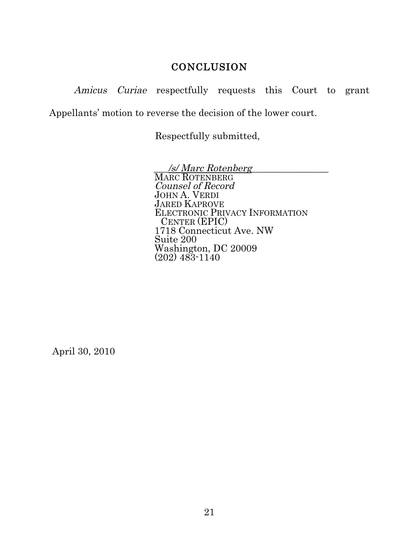### **CONCLUSION**

Amicus Curiae respectfully requests this Court to grant

Appellants' motion to reverse the decision of the lower court.

Respectfully submitted,

\_\_\_/s/ Marc Rotenberg\_\_\_\_\_\_\_\_\_\_\_\_\_\_\_\_ MARC ROTENBERG Counsel of Record JOHN A. VERDI JARED KAPROVE ELECTRONIC PRIVACY INFORMATION CENTER (EPIC) 1718 Connecticut Ave. NW Suite 200 Washington, DC 20009 (202) 483-1140

April 30, 2010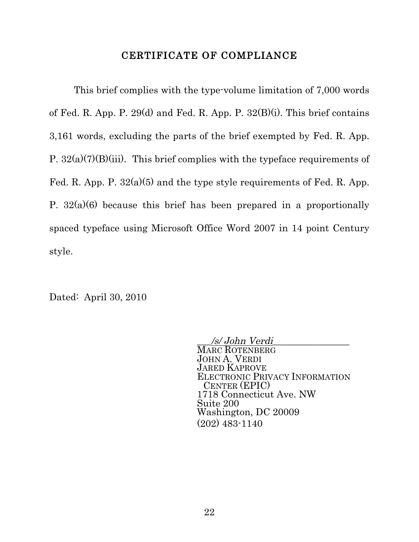#### CERTIFICATE OF COMPLIANCE

This brief complies with the type-volume limitation of 7,000 words of Fed. R. App. P. 29(d) and Fed. R. App. P.  $32(B)(i)$ . This brief contains 3,161 words, excluding the parts of the brief exempted by Fed. R. App. P.  $32(a)(7)(B)(iii)$ . This brief complies with the typeface requirements of Fed. R. App. P.  $32(a)(5)$  and the type style requirements of Fed. R. App. P.  $32(a)(6)$  because this brief has been prepared in a proportionally spaced typeface using Microsoft Office Word 2007 in 14 point Century style.

Dated: April 30, 2010

\_\_\_/s/ John Verdi\_\_\_\_\_\_\_\_\_\_\_\_\_\_\_\_ MARC ROTENBERG JOHN A. VERDI JARED KAPROVE ELECTRONIC PRIVACY INFORMATION CENTER (EPIC) 1718 Connecticut Ave. NW Suite 200 Washington, DC 20009 (202) 483-1140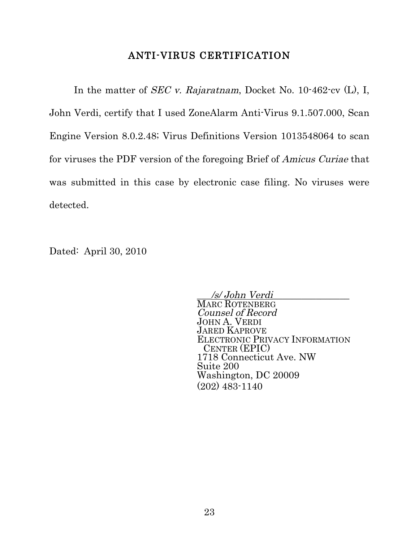#### ANTI-VIRUS CERTIFICATION

In the matter of *SEC v. Rajaratnam*, Docket No. 10-462-cv (L), I, John Verdi, certify that I used ZoneAlarm Anti-Virus 9.1.507.000, Scan Engine Version 8.0.2.48; Virus Definitions Version 1013548064 to scan for viruses the PDF version of the foregoing Brief of Amicus Curiae that was submitted in this case by electronic case filing. No viruses were detected.

Dated: April 30, 2010

\_\_\_/s/ John Verdi\_\_\_\_\_\_\_\_\_\_\_\_\_\_\_\_ MARC ROTENBERG Counsel of Record JOHN A. VERDI JARED KAPROVE ELECTRONIC PRIVACY INFORMATION CENTER (EPIC) 1718 Connecticut Ave. NW Suite 200 Washington, DC 20009 (202) 483-1140